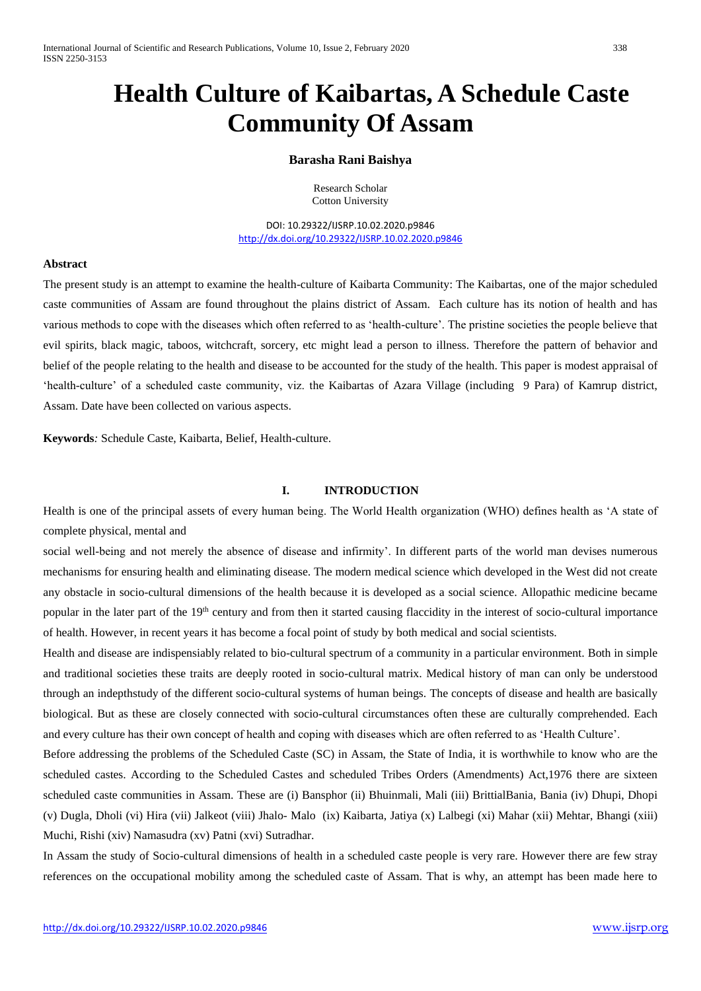# **Health Culture of Kaibartas, A Schedule Caste Community Of Assam**

# **Barasha Rani Baishya**

Research Scholar Cotton University

DOI: 10.29322/IJSRP.10.02.2020.p9846 <http://dx.doi.org/10.29322/IJSRP.10.02.2020.p9846>

## **Abstract**

The present study is an attempt to examine the health-culture of Kaibarta Community: The Kaibartas, one of the major scheduled caste communities of Assam are found throughout the plains district of Assam. Each culture has its notion of health and has various methods to cope with the diseases which often referred to as 'health-culture'. The pristine societies the people believe that evil spirits, black magic, taboos, witchcraft, sorcery, etc might lead a person to illness. Therefore the pattern of behavior and belief of the people relating to the health and disease to be accounted for the study of the health. This paper is modest appraisal of 'health-culture' of a scheduled caste community, viz. the Kaibartas of Azara Village (including 9 Para) of Kamrup district, Assam. Date have been collected on various aspects.

**Keywords***:* Schedule Caste, Kaibarta, Belief, Health-culture.

#### **I. INTRODUCTION**

Health is one of the principal assets of every human being. The World Health organization (WHO) defines health as 'A state of complete physical, mental and

social well-being and not merely the absence of disease and infirmity'. In different parts of the world man devises numerous mechanisms for ensuring health and eliminating disease. The modern medical science which developed in the West did not create any obstacle in socio-cultural dimensions of the health because it is developed as a social science. Allopathic medicine became popular in the later part of the 19<sup>th</sup> century and from then it started causing flaccidity in the interest of socio-cultural importance of health. However, in recent years it has become a focal point of study by both medical and social scientists.

Health and disease are indispensiably related to bio-cultural spectrum of a community in a particular environment. Both in simple and traditional societies these traits are deeply rooted in socio-cultural matrix. Medical history of man can only be understood through an indepthstudy of the different socio-cultural systems of human beings. The concepts of disease and health are basically biological. But as these are closely connected with socio-cultural circumstances often these are culturally comprehended. Each and every culture has their own concept of health and coping with diseases which are often referred to as 'Health Culture'.

Before addressing the problems of the Scheduled Caste (SC) in Assam, the State of India, it is worthwhile to know who are the scheduled castes. According to the Scheduled Castes and scheduled Tribes Orders (Amendments) Act,1976 there are sixteen scheduled caste communities in Assam. These are (i) Bansphor (ii) Bhuinmali, Mali (iii) BrittialBania, Bania (iv) Dhupi, Dhopi (v) Dugla, Dholi (vi) Hira (vii) Jalkeot (viii) Jhalo- Malo (ix) Kaibarta, Jatiya (x) Lalbegi (xi) Mahar (xii) Mehtar, Bhangi (xiii) Muchi, Rishi (xiv) Namasudra (xv) Patni (xvi) Sutradhar.

In Assam the study of Socio-cultural dimensions of health in a scheduled caste people is very rare. However there are few stray references on the occupational mobility among the scheduled caste of Assam. That is why, an attempt has been made here to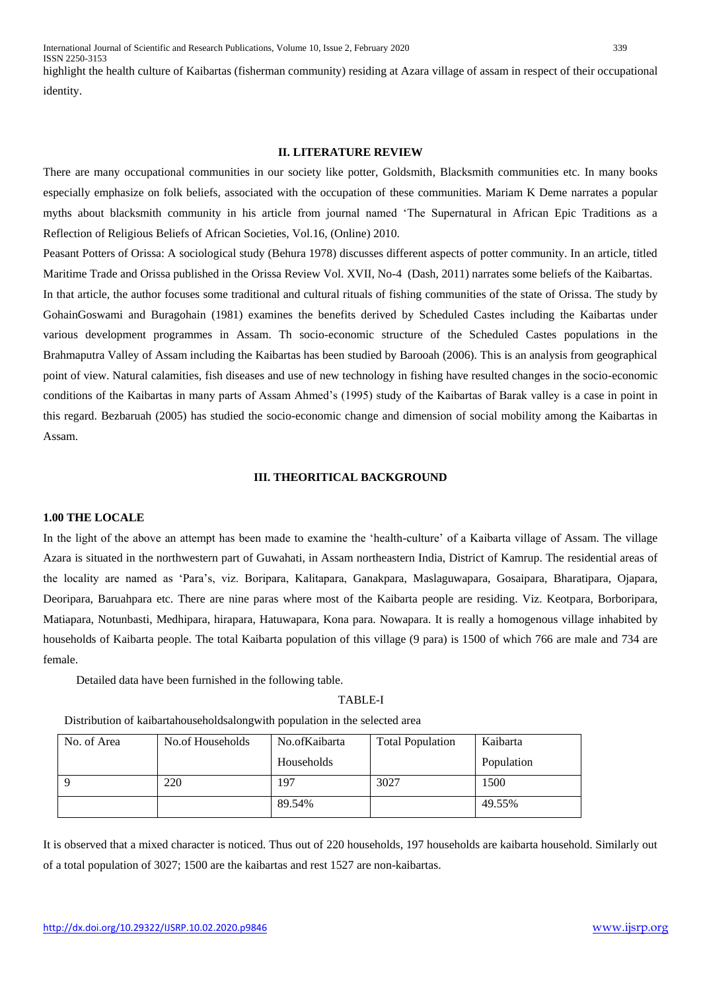ISSN 2250-3153 highlight the health culture of Kaibartas (fisherman community) residing at Azara village of assam in respect of their occupational identity.

#### **II. LITERATURE REVIEW**

There are many occupational communities in our society like potter, Goldsmith, Blacksmith communities etc. In many books especially emphasize on folk beliefs, associated with the occupation of these communities. Mariam K Deme narrates a popular myths about blacksmith community in his article from journal named 'The Supernatural in African Epic Traditions as a Reflection of Religious Beliefs of African Societies, Vol.16, (Online) 2010.

Peasant Potters of Orissa: A sociological study (Behura 1978) discusses different aspects of potter community. In an article, titled Maritime Trade and Orissa published in the Orissa Review Vol. XVII, No-4 (Dash, 2011) narrates some beliefs of the Kaibartas. In that article, the author focuses some traditional and cultural rituals of fishing communities of the state of Orissa. The study by GohainGoswami and Buragohain (1981) examines the benefits derived by Scheduled Castes including the Kaibartas under various development programmes in Assam. Th socio-economic structure of the Scheduled Castes populations in the Brahmaputra Valley of Assam including the Kaibartas has been studied by Barooah (2006). This is an analysis from geographical point of view. Natural calamities, fish diseases and use of new technology in fishing have resulted changes in the socio-economic conditions of the Kaibartas in many parts of Assam Ahmed's (1995) study of the Kaibartas of Barak valley is a case in point in this regard. Bezbaruah (2005) has studied the socio-economic change and dimension of social mobility among the Kaibartas in Assam.

#### **III. THEORITICAL BACKGROUND**

#### **1.00 THE LOCALE**

In the light of the above an attempt has been made to examine the 'health-culture' of a Kaibarta village of Assam. The village Azara is situated in the northwestern part of Guwahati, in Assam northeastern India, District of Kamrup. The residential areas of the locality are named as 'Para's, viz. Boripara, Kalitapara, Ganakpara, Maslaguwapara, Gosaipara, Bharatipara, Ojapara, Deoripara, Baruahpara etc. There are nine paras where most of the Kaibarta people are residing. Viz. Keotpara, Borboripara, Matiapara, Notunbasti, Medhipara, hirapara, Hatuwapara, Kona para. Nowapara. It is really a homogenous village inhabited by households of Kaibarta people. The total Kaibarta population of this village (9 para) is 1500 of which 766 are male and 734 are female.

Detailed data have been furnished in the following table.

TABLE-I

| No. of Area | No.of Households | No.ofKaibarta | <b>Total Population</b> | Kaibarta   |
|-------------|------------------|---------------|-------------------------|------------|
|             |                  | Households    |                         | Population |
|             | 220              | 197           | 3027                    | 1500       |
|             |                  | 89.54%        |                         | 49.55%     |

Distribution of kaibartahouseholdsalongwith population in the selected area

It is observed that a mixed character is noticed. Thus out of 220 households, 197 households are kaibarta household. Similarly out of a total population of 3027; 1500 are the kaibartas and rest 1527 are non-kaibartas.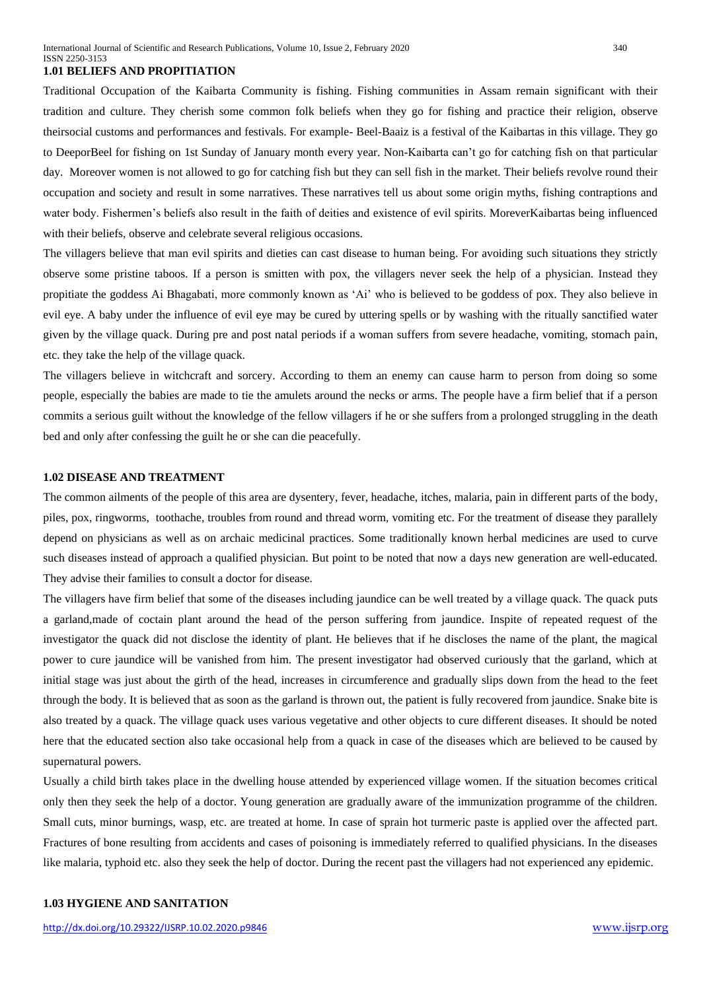#### **1.01 BELIEFS AND PROPITIATION**

Traditional Occupation of the Kaibarta Community is fishing. Fishing communities in Assam remain significant with their tradition and culture. They cherish some common folk beliefs when they go for fishing and practice their religion, observe theirsocial customs and performances and festivals. For example- Beel-Baaiz is a festival of the Kaibartas in this village. They go to DeeporBeel for fishing on 1st Sunday of January month every year. Non-Kaibarta can't go for catching fish on that particular day. Moreover women is not allowed to go for catching fish but they can sell fish in the market. Their beliefs revolve round their occupation and society and result in some narratives. These narratives tell us about some origin myths, fishing contraptions and water body. Fishermen's beliefs also result in the faith of deities and existence of evil spirits. MoreverKaibartas being influenced with their beliefs, observe and celebrate several religious occasions.

The villagers believe that man evil spirits and dieties can cast disease to human being. For avoiding such situations they strictly observe some pristine taboos. If a person is smitten with pox, the villagers never seek the help of a physician. Instead they propitiate the goddess Ai Bhagabati, more commonly known as 'Ai' who is believed to be goddess of pox. They also believe in evil eye. A baby under the influence of evil eye may be cured by uttering spells or by washing with the ritually sanctified water given by the village quack. During pre and post natal periods if a woman suffers from severe headache, vomiting, stomach pain, etc. they take the help of the village quack.

The villagers believe in witchcraft and sorcery. According to them an enemy can cause harm to person from doing so some people, especially the babies are made to tie the amulets around the necks or arms. The people have a firm belief that if a person commits a serious guilt without the knowledge of the fellow villagers if he or she suffers from a prolonged struggling in the death bed and only after confessing the guilt he or she can die peacefully.

# **1.02 DISEASE AND TREATMENT**

The common ailments of the people of this area are dysentery, fever, headache, itches, malaria, pain in different parts of the body, piles, pox, ringworms, toothache, troubles from round and thread worm, vomiting etc. For the treatment of disease they parallely depend on physicians as well as on archaic medicinal practices. Some traditionally known herbal medicines are used to curve such diseases instead of approach a qualified physician. But point to be noted that now a days new generation are well-educated. They advise their families to consult a doctor for disease.

The villagers have firm belief that some of the diseases including jaundice can be well treated by a village quack. The quack puts a garland,made of coctain plant around the head of the person suffering from jaundice. Inspite of repeated request of the investigator the quack did not disclose the identity of plant. He believes that if he discloses the name of the plant, the magical power to cure jaundice will be vanished from him. The present investigator had observed curiously that the garland, which at initial stage was just about the girth of the head, increases in circumference and gradually slips down from the head to the feet through the body. It is believed that as soon as the garland is thrown out, the patient is fully recovered from jaundice. Snake bite is also treated by a quack. The village quack uses various vegetative and other objects to cure different diseases. It should be noted here that the educated section also take occasional help from a quack in case of the diseases which are believed to be caused by supernatural powers.

Usually a child birth takes place in the dwelling house attended by experienced village women. If the situation becomes critical only then they seek the help of a doctor. Young generation are gradually aware of the immunization programme of the children. Small cuts, minor burnings, wasp, etc. are treated at home. In case of sprain hot turmeric paste is applied over the affected part. Fractures of bone resulting from accidents and cases of poisoning is immediately referred to qualified physicians. In the diseases like malaria, typhoid etc. also they seek the help of doctor. During the recent past the villagers had not experienced any epidemic.

#### **1.03 HYGIENE AND SANITATION**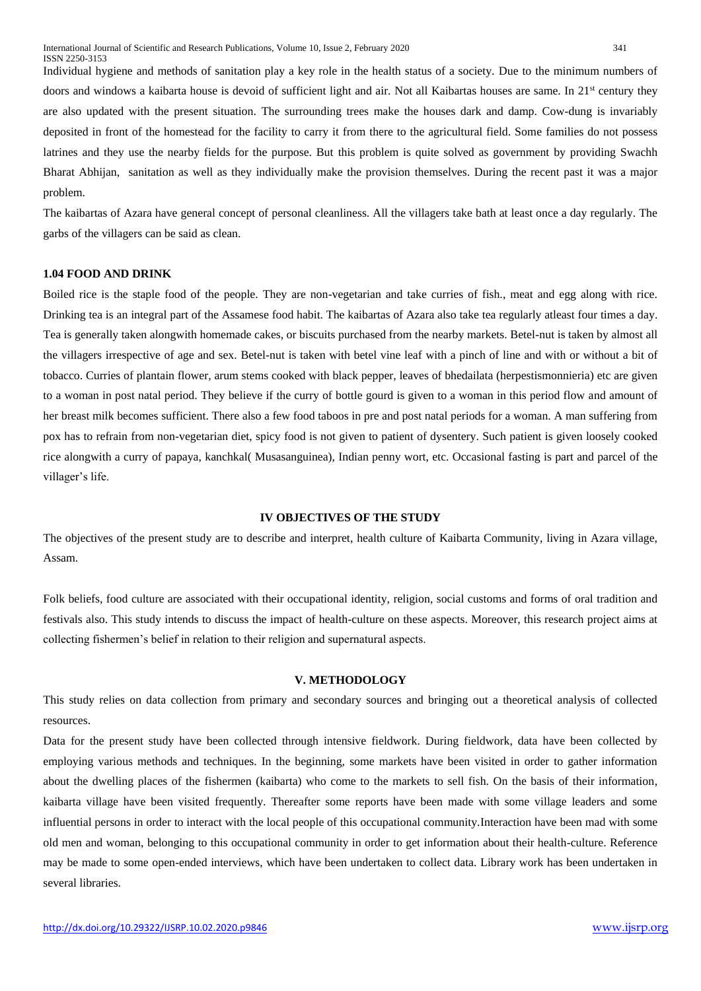Individual hygiene and methods of sanitation play a key role in the health status of a society. Due to the minimum numbers of doors and windows a kaibarta house is devoid of sufficient light and air. Not all Kaibartas houses are same. In 21<sup>st</sup> century they are also updated with the present situation. The surrounding trees make the houses dark and damp. Cow-dung is invariably deposited in front of the homestead for the facility to carry it from there to the agricultural field. Some families do not possess latrines and they use the nearby fields for the purpose. But this problem is quite solved as government by providing Swachh Bharat Abhijan, sanitation as well as they individually make the provision themselves. During the recent past it was a major problem.

The kaibartas of Azara have general concept of personal cleanliness. All the villagers take bath at least once a day regularly. The garbs of the villagers can be said as clean.

#### **1.04 FOOD AND DRINK**

Boiled rice is the staple food of the people. They are non-vegetarian and take curries of fish., meat and egg along with rice. Drinking tea is an integral part of the Assamese food habit. The kaibartas of Azara also take tea regularly atleast four times a day. Tea is generally taken alongwith homemade cakes, or biscuits purchased from the nearby markets. Betel-nut is taken by almost all the villagers irrespective of age and sex. Betel-nut is taken with betel vine leaf with a pinch of line and with or without a bit of tobacco. Curries of plantain flower, arum stems cooked with black pepper, leaves of bhedailata (herpestismonnieria) etc are given to a woman in post natal period. They believe if the curry of bottle gourd is given to a woman in this period flow and amount of her breast milk becomes sufficient. There also a few food taboos in pre and post natal periods for a woman. A man suffering from pox has to refrain from non-vegetarian diet, spicy food is not given to patient of dysentery. Such patient is given loosely cooked rice alongwith a curry of papaya, kanchkal( Musasanguinea), Indian penny wort, etc. Occasional fasting is part and parcel of the villager's life.

#### **IV OBJECTIVES OF THE STUDY**

The objectives of the present study are to describe and interpret, health culture of Kaibarta Community, living in Azara village, Assam.

Folk beliefs, food culture are associated with their occupational identity, religion, social customs and forms of oral tradition and festivals also. This study intends to discuss the impact of health-culture on these aspects. Moreover, this research project aims at collecting fishermen's belief in relation to their religion and supernatural aspects.

#### **V. METHODOLOGY**

This study relies on data collection from primary and secondary sources and bringing out a theoretical analysis of collected resources.

Data for the present study have been collected through intensive fieldwork. During fieldwork, data have been collected by employing various methods and techniques. In the beginning, some markets have been visited in order to gather information about the dwelling places of the fishermen (kaibarta) who come to the markets to sell fish. On the basis of their information, kaibarta village have been visited frequently. Thereafter some reports have been made with some village leaders and some influential persons in order to interact with the local people of this occupational community.Interaction have been mad with some old men and woman, belonging to this occupational community in order to get information about their health-culture. Reference may be made to some open-ended interviews, which have been undertaken to collect data. Library work has been undertaken in several libraries.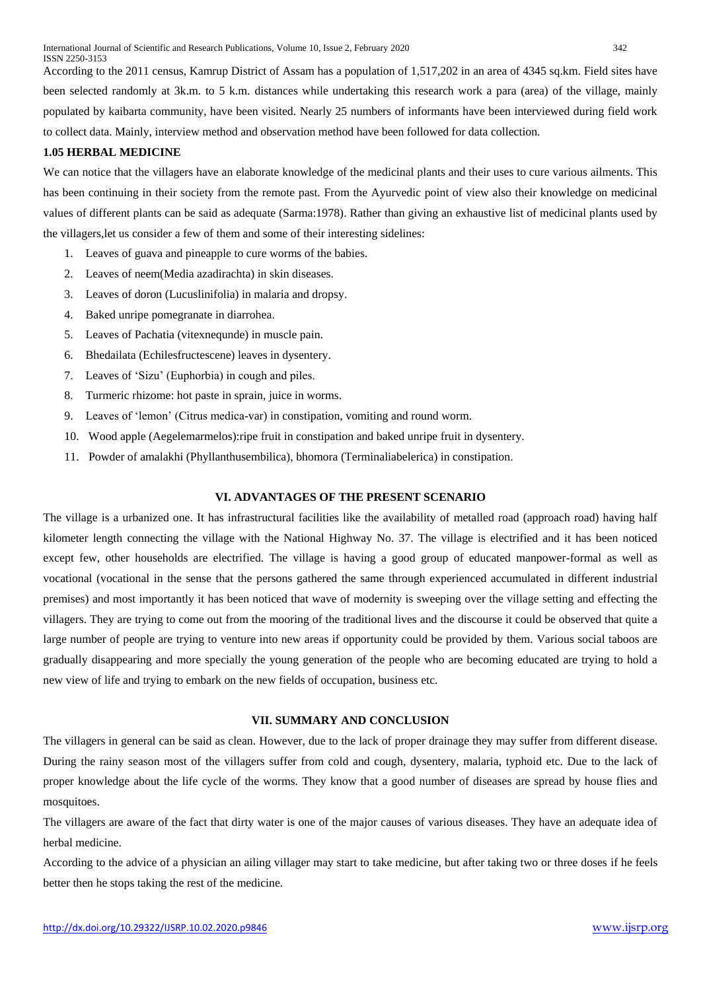According to the 2011 census, Kamrup District of Assam has a population of 1,517,202 in an area of 4345 sq.km. Field sites have been selected randomly at 3k.m. to 5 k.m. distances while undertaking this research work a para (area) of the village, mainly populated by kaibarta community, have been visited. Nearly 25 numbers of informants have been interviewed during field work to collect data. Mainly, interview method and observation method have been followed for data collection.

# **1.05 HERBAL MEDICINE**

We can notice that the villagers have an elaborate knowledge of the medicinal plants and their uses to cure various ailments. This has been continuing in their society from the remote past. From the Ayurvedic point of view also their knowledge on medicinal values of different plants can be said as adequate (Sarma:1978). Rather than giving an exhaustive list of medicinal plants used by the villagers,let us consider a few of them and some of their interesting sidelines:

- 1. Leaves of guava and pineapple to cure worms of the babies.
- 2. Leaves of neem(Media azadirachta) in skin diseases.
- 3. Leaves of doron (Lucuslinifolia) in malaria and dropsy.
- 4. Baked unripe pomegranate in diarrohea.
- 5. Leaves of Pachatia (vitexnequnde) in muscle pain.
- 6. Bhedailata (Echilesfructescene) leaves in dysentery.
- 7. Leaves of 'Sizu' (Euphorbia) in cough and piles.
- 8. Turmeric rhizome: hot paste in sprain, juice in worms.
- 9. Leaves of 'lemon' (Citrus medica-var) in constipation, vomiting and round worm.
- 10. Wood apple (Aegelemarmelos):ripe fruit in constipation and baked unripe fruit in dysentery.
- 11. Powder of amalakhi (Phyllanthusembilica), bhomora (Terminaliabelerica) in constipation.

## **VI. ADVANTAGES OF THE PRESENT SCENARIO**

The village is a urbanized one. It has infrastructural facilities like the availability of metalled road (approach road) having half kilometer length connecting the village with the National Highway No. 37. The village is electrified and it has been noticed except few, other households are electrified. The village is having a good group of educated manpower-formal as well as vocational (vocational in the sense that the persons gathered the same through experienced accumulated in different industrial premises) and most importantly it has been noticed that wave of modernity is sweeping over the village setting and effecting the villagers. They are trying to come out from the mooring of the traditional lives and the discourse it could be observed that quite a large number of people are trying to venture into new areas if opportunity could be provided by them. Various social taboos are gradually disappearing and more specially the young generation of the people who are becoming educated are trying to hold a new view of life and trying to embark on the new fields of occupation, business etc.

# **VII. SUMMARY AND CONCLUSION**

The villagers in general can be said as clean. However, due to the lack of proper drainage they may suffer from different disease. During the rainy season most of the villagers suffer from cold and cough, dysentery, malaria, typhoid etc. Due to the lack of proper knowledge about the life cycle of the worms. They know that a good number of diseases are spread by house flies and mosquitoes.

The villagers are aware of the fact that dirty water is one of the major causes of various diseases. They have an adequate idea of herbal medicine.

According to the advice of a physician an ailing villager may start to take medicine, but after taking two or three doses if he feels better then he stops taking the rest of the medicine.